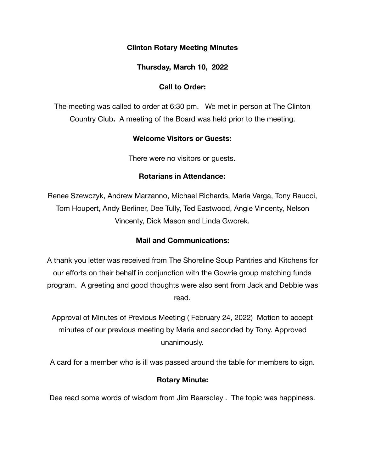### **Clinton Rotary Meeting Minutes**

**Thursday, March 10, 2022** 

## **Call to Order:**

The meeting was called to order at 6:30 pm. We met in person at The Clinton Country Club**.** A meeting of the Board was held prior to the meeting.

## **Welcome Visitors or Guests:**

There were no visitors or guests.

### **Rotarians in Attendance:**

Renee Szewczyk, Andrew Marzanno, Michael Richards, Maria Varga, Tony Raucci, Tom Houpert, Andy Berliner, Dee Tully, Ted Eastwood, Angie Vincenty, Nelson Vincenty, Dick Mason and Linda Gworek.

# **Mail and Communications:**

A thank you letter was received from The Shoreline Soup Pantries and Kitchens for our efforts on their behalf in conjunction with the Gowrie group matching funds program. A greeting and good thoughts were also sent from Jack and Debbie was read.

Approval of Minutes of Previous Meeting ( February 24, 2022) Motion to accept minutes of our previous meeting by Maria and seconded by Tony. Approved unanimously.

A card for a member who is ill was passed around the table for members to sign.

## **Rotary Minute:**

Dee read some words of wisdom from Jim Bearsdley . The topic was happiness.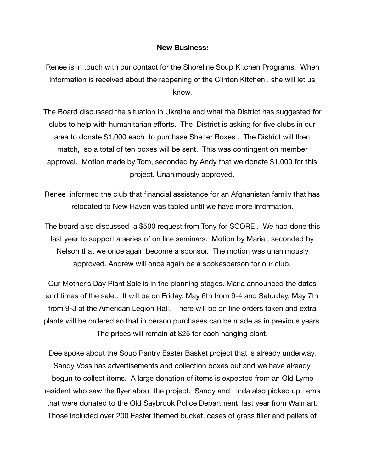### **New Business:**

Renee is in touch with our contact for the Shoreline Soup Kitchen Programs. When information is received about the reopening of the Clinton Kitchen , she will let us know.

The Board discussed the situation in Ukraine and what the District has suggested for clubs to help with humanitarian efforts. The District is asking for five clubs in our area to donate \$1,000 each to purchase Shelter Boxes . The District will then match, so a total of ten boxes will be sent. This was contingent on member approval. Motion made by Tom, seconded by Andy that we donate \$1,000 for this project. Unanimously approved.

Renee informed the club that financial assistance for an Afghanistan family that has relocated to New Haven was tabled until we have more information.

The board also discussed a \$500 request from Tony for SCORE . We had done this last year to support a series of on line seminars. Motion by Maria , seconded by Nelson that we once again become a sponsor. The motion was unanimously approved. Andrew will once again be a spokesperson for our club.

Our Mother's Day Plant Sale is in the planning stages. Maria announced the dates and times of the sale.. It will be on Friday, May 6th from 9-4 and Saturday, May 7th from 9-3 at the American Legion Hall. There will be on line orders taken and extra plants will be ordered so that in person purchases can be made as in previous years. The prices will remain at \$25 for each hanging plant.

Dee spoke about the Soup Pantry Easter Basket project that is already underway. Sandy Voss has advertisements and collection boxes out and we have already begun to collect items. A large donation of items is expected from an Old Lyme resident who saw the flyer about the project. Sandy and Linda also picked up items that were donated to the Old Saybrook Police Department last year from Walmart. Those included over 200 Easter themed bucket, cases of grass filler and pallets of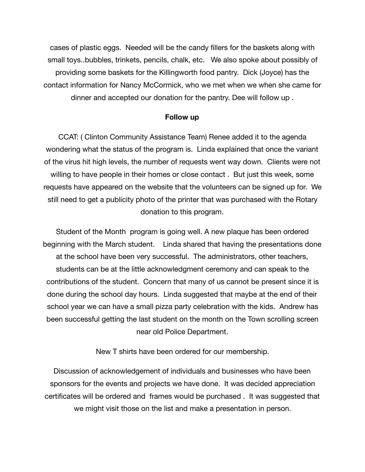cases of plastic eggs. Needed will be the candy fillers for the baskets along with small toys..bubbles, trinkets, pencils, chalk, etc. We also spoke about possibly of providing some baskets for the Killingworth food pantry. Dick (Joyce) has the contact information for Nancy McCormick, who we met when we when she came for dinner and accepted our donation for the pantry. Dee will follow up .

#### **Follow up**

CCAT: ( Clinton Community Assistance Team) Renee added it to the agenda wondering what the status of the program is. Linda explained that once the variant of the virus hit high levels, the number of requests went way down. Clients were not willing to have people in their homes or close contact . But just this week, some requests have appeared on the website that the volunteers can be signed up for. We still need to get a publicity photo of the printer that was purchased with the Rotary donation to this program.

Student of the Month program is going well. A new plaque has been ordered beginning with the March student. Linda shared that having the presentations done at the school have been very successful. The administrators, other teachers, students can be at the little acknowledgment ceremony and can speak to the contributions of the student. Concern that many of us cannot be present since it is done during the school day hours. Linda suggested that maybe at the end of their school year we can have a small pizza party celebration with the kids. Andrew has been successful getting the last student on the month on the Town scrolling screen near old Police Department.

New T shirts have been ordered for our membership.

Discussion of acknowledgement of individuals and businesses who have been sponsors for the events and projects we have done. It was decided appreciation certificates will be ordered and frames would be purchased . It was suggested that we might visit those on the list and make a presentation in person.